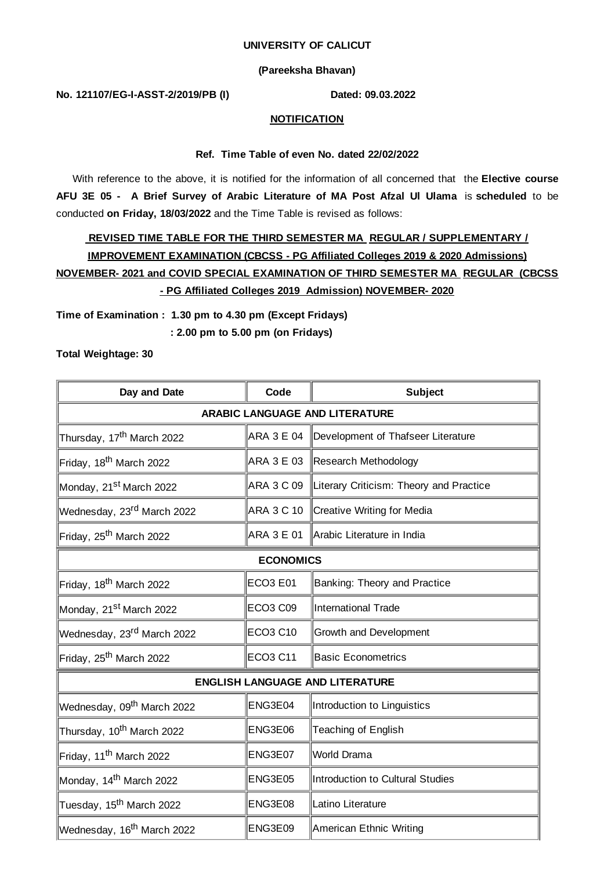#### **UNIVERSITY OF CALICUT**

## **(Pareeksha Bhavan)**

#### **No. 121107/EG-I-ASST-2/2019/PB (I) Dated: 09.03.2022**

## **NOTIFICATION**

## **Ref. Time Table of even No. dated 22/02/2022**

With reference to the above, it is notified for the information of all concerned that the **Elective course AFU 3E 05 - A Brief Survey of Arabic Literature of MA Post Afzal Ul Ulama** is **scheduled** to be conducted **on Friday, 18/03/2022** and the Time Table is revised as follows:

# **REVISED TIME TABLE FOR THE THIRD SEMESTER MA REGULAR / SUPPLEMENTARY / IMPROVEMENT EXAMINATION (CBCSS - PG Affiliated Colleges 2019 & 2020 Admissions) NOVEMBER- 2021 and COVID SPECIAL EXAMINATION OF THIRD SEMESTER MA REGULAR (CBCSS - PG Affiliated Colleges 2019 Admission) NOVEMBER- 2020**

**Time of Examination : 1.30 pm to 4.30 pm (Except Fridays)**

**: 2.00 pm to 5.00 pm (on Fridays)**

**Total Weightage: 30**

| Day and Date                           | Code            | <b>Subject</b>                                     |  |  |
|----------------------------------------|-----------------|----------------------------------------------------|--|--|
| <b>ARABIC LANGUAGE AND LITERATURE</b>  |                 |                                                    |  |  |
| Thursday, 17 <sup>th</sup> March 2022  | ARA 3 E 04      | Development of Thafseer Literature                 |  |  |
| Friday, 18 <sup>th</sup> March 2022    |                 | ARA 3 E 03 Research Methodology                    |  |  |
| Monday, 21 <sup>st</sup> March 2022    |                 | ARA 3 C 09 Literary Criticism: Theory and Practice |  |  |
| Wednesday, 23 <sup>rd</sup> March 2022 | ARA 3 C 10      | Creative Writing for Media                         |  |  |
| Friday, 25 <sup>th</sup> March 2022    | ARA 3 E 01      | Arabic Literature in India                         |  |  |
| <b>ECONOMICS</b>                       |                 |                                                    |  |  |
| Friday, 18 <sup>th</sup> March 2022    | <b>ECO3 E01</b> | Banking: Theory and Practice                       |  |  |
| Monday, 21 <sup>st</sup> March 2022    | <b>ECO3 C09</b> | International Trade                                |  |  |
| Wednesday, 23 <sup>rd</sup> March 2022 | <b>ECO3 C10</b> | <b>Growth and Development</b>                      |  |  |
| Friday, 25 <sup>th</sup> March 2022    | <b>ECO3 C11</b> | <b>Basic Econometrics</b>                          |  |  |
| <b>ENGLISH LANGUAGE AND LITERATURE</b> |                 |                                                    |  |  |
| Wednesday, 09 <sup>th</sup> March 2022 | ENG3E04         | Introduction to Linguistics                        |  |  |
| Thursday, 10 <sup>th</sup> March 2022  | ENG3E06         | Teaching of English                                |  |  |
| Friday, 11 <sup>th</sup> March 2022    | ENG3E07         | World Drama                                        |  |  |
| Monday, 14 <sup>th</sup> March 2022    | ENG3E05         | Introduction to Cultural Studies                   |  |  |
| Tuesday, 15 <sup>th</sup> March 2022   | ENG3E08         | Latino Literature                                  |  |  |
| Wednesday, 16 <sup>th</sup> March 2022 | ENG3E09         | American Ethnic Writing                            |  |  |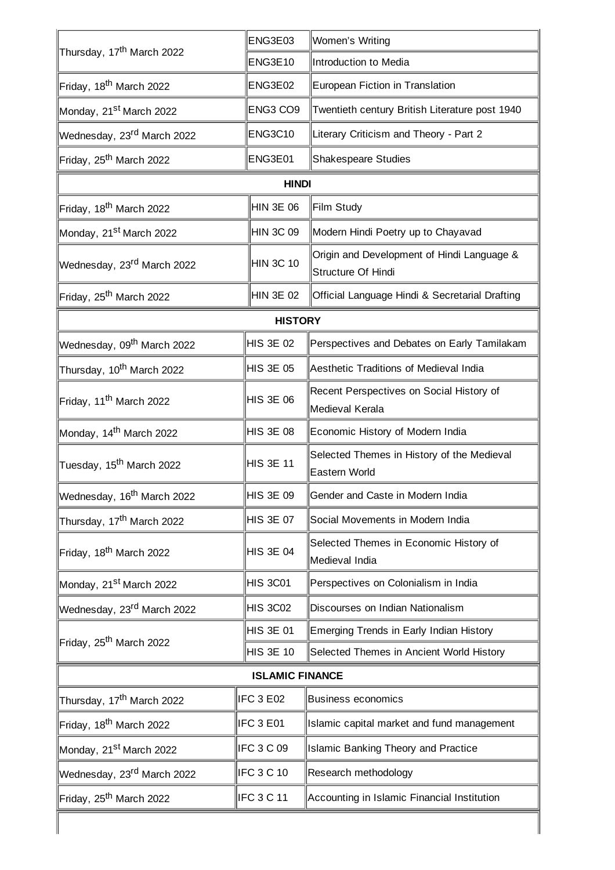| Thursday, 17 <sup>th</sup> March 2022  | ENG3E03          | Women's Writing                                                  |  |  |
|----------------------------------------|------------------|------------------------------------------------------------------|--|--|
|                                        | <b>ENG3E10</b>   | Introduction to Media                                            |  |  |
| Friday, 18 <sup>th</sup> March 2022    | ENG3E02          | European Fiction in Translation                                  |  |  |
| Monday, 21 <sup>st</sup> March 2022    | ENG3 CO9         | Twentieth century British Literature post 1940                   |  |  |
| Wednesday, 23 <sup>rd</sup> March 2022 | <b>ENG3C10</b>   | Literary Criticism and Theory - Part 2                           |  |  |
| Friday, 25 <sup>th</sup> March 2022    | ENG3E01          | <b>Shakespeare Studies</b>                                       |  |  |
|                                        | <b>HINDI</b>     |                                                                  |  |  |
| Friday, 18 <sup>th</sup> March 2022    | HIN 3E 06        | Film Study                                                       |  |  |
| Monday, 21st March 2022                | HIN 3C 09        | Modern Hindi Poetry up to Chayavad                               |  |  |
| Wednesday, 23rd March 2022             | <b>HIN 3C 10</b> | Origin and Development of Hindi Language &<br>Structure Of Hindi |  |  |
| Friday, 25 <sup>th</sup> March 2022    | HIN 3E 02        | Official Language Hindi & Secretarial Drafting                   |  |  |
|                                        | <b>HISTORY</b>   |                                                                  |  |  |
| Wednesday, 09 <sup>th</sup> March 2022 | HIS 3E 02        | Perspectives and Debates on Early Tamilakam                      |  |  |
| Thursday, 10 <sup>th</sup> March 2022  | HIS 3E 05        | Aesthetic Traditions of Medieval India                           |  |  |
| Friday, 11 <sup>th</sup> March 2022    | HIS 3E 06        | Recent Perspectives on Social History of<br>Medieval Kerala      |  |  |
| Monday, 14 <sup>th</sup> March 2022    | <b>HIS 3E 08</b> | Economic History of Modern India                                 |  |  |
| Tuesday, 15 <sup>th</sup> March 2022   | <b>HIS 3E 11</b> | Selected Themes in History of the Medieval<br>Eastern World      |  |  |
| Wednesday, 16 <sup>th</sup> March 2022 | <b>HIS 3E 09</b> | Gender and Caste in Modern India                                 |  |  |
| Thursday, 17 <sup>th</sup> March 2022  | <b>HIS 3E 07</b> | Social Movements in Modern India                                 |  |  |
| Friday, 18 <sup>th</sup> March 2022    | <b>HIS 3E 04</b> | Selected Themes in Economic History of<br>Medieval India         |  |  |
| Monday, 21 <sup>st</sup> March 2022    | <b>HIS 3C01</b>  | Perspectives on Colonialism in India                             |  |  |
| Wednesday, 23 <sup>rd</sup> March 2022 | <b>HIS 3C02</b>  | Discourses on Indian Nationalism                                 |  |  |
| Friday, 25 <sup>th</sup> March 2022    | <b>HIS 3E 01</b> | Emerging Trends in Early Indian History                          |  |  |
|                                        | <b>HIS 3E 10</b> | Selected Themes in Ancient World History                         |  |  |
| <b>ISLAMIC FINANCE</b>                 |                  |                                                                  |  |  |
| Thursday, 17 <sup>th</sup> March 2022  | IFC 3 E02        | <b>Business economics</b>                                        |  |  |
| Friday, 18 <sup>th</sup> March 2022    | IFC 3 E01        | Islamic capital market and fund management                       |  |  |
| Monday, 21 <sup>st</sup> March 2022    | IFC 3 C 09       | <b>Islamic Banking Theory and Practice</b>                       |  |  |
| Wednesday, 23 <sup>rd</sup> March 2022 | IFC 3 C 10       | Research methodology                                             |  |  |
| Friday, 25 <sup>th</sup> March 2022    | IFC 3 C 11       | Accounting in Islamic Financial Institution                      |  |  |
|                                        |                  |                                                                  |  |  |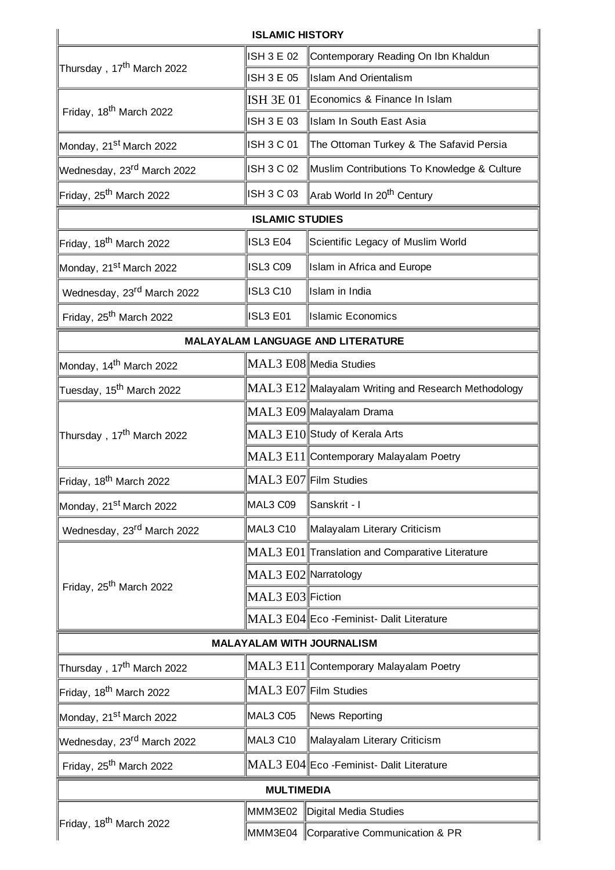|                                        | <b>ISLAMIC HISTORY</b> |                                                                    |  |  |  |
|----------------------------------------|------------------------|--------------------------------------------------------------------|--|--|--|
| Thursday, 17 <sup>th</sup> March 2022  | <b>ISH 3 E 02</b>      | Contemporary Reading On Ibn Khaldun                                |  |  |  |
|                                        | ISH 3 E 05             | <b>Islam And Orientalism</b>                                       |  |  |  |
| Friday, 18 <sup>th</sup> March 2022    | ISH 3E 01              | Economics & Finance In Islam                                       |  |  |  |
|                                        | ISH 3 E 03             | Islam In South East Asia                                           |  |  |  |
| Monday, 21 <sup>st</sup> March 2022    | ISH 3 C 01             | The Ottoman Turkey & The Safavid Persia                            |  |  |  |
| Wednesday, 23rd March 2022             | ISH 3 C 02             | Muslim Contributions To Knowledge & Culture                        |  |  |  |
| Friday, 25 <sup>th</sup> March 2022    | ISH 3 C 03             | Arab World In 20 <sup>th</sup> Century                             |  |  |  |
|                                        | <b>ISLAMIC STUDIES</b> |                                                                    |  |  |  |
| Friday, 18 <sup>th</sup> March 2022    | ISL3 E04               | Scientific Legacy of Muslim World                                  |  |  |  |
| Monday, 21 <sup>st</sup> March 2022    | ISL3 C09               | Islam in Africa and Europe                                         |  |  |  |
| Wednesday, 23 <sup>rd</sup> March 2022 | ISL3 C10               | Islam in India                                                     |  |  |  |
| Friday, 25 <sup>th</sup> March 2022    | <b>ISL3 E01</b>        | <b>Islamic Economics</b>                                           |  |  |  |
|                                        |                        | MALAYALAM LANGUAGE AND LITERATURE                                  |  |  |  |
| Monday, 14 <sup>th</sup> March 2022    |                        | MAL3 E08 Media Studies                                             |  |  |  |
| Tuesday, 15 <sup>th</sup> March 2022   |                        | MAL3 E12 Malayalam Writing and Research Methodology                |  |  |  |
|                                        |                        | MAL3 E09 Malayalam Drama                                           |  |  |  |
| Thursday, 17 <sup>th</sup> March 2022  |                        | MAL3 E10 Study of Kerala Arts                                      |  |  |  |
|                                        |                        | MAL3 E11 Contemporary Malayalam Poetry                             |  |  |  |
| Friday, 18 <sup>th</sup> March 2022    | MAL3 E07 Film Studies  |                                                                    |  |  |  |
| Monday, 21st March 2022                | MAL3 C09               | Sanskrit - I                                                       |  |  |  |
| Wednesday, 23rd March 2022             | MAL3 C10               | Malayalam Literary Criticism                                       |  |  |  |
| Friday, 25 <sup>th</sup> March 2022    |                        | $\rm{MAL3}$ $\rm{E01} \rm{$ Translation and Comparative Literature |  |  |  |
|                                        | MAL3 E02 Narratology   |                                                                    |  |  |  |
|                                        | MAL3 E03 Fiction       |                                                                    |  |  |  |
|                                        |                        | MAL3 E04 Eco - Feminist - Dalit Literature                         |  |  |  |
| <b>MALAYALAM WITH JOURNALISM</b>       |                        |                                                                    |  |  |  |
| Thursday, 17 <sup>th</sup> March 2022  |                        | MAL3 E11  Contemporary Malayalam Poetry                            |  |  |  |
| Friday, 18 <sup>th</sup> March 2022    | MAL3 E07 Film Studies  |                                                                    |  |  |  |
| Monday, 21 <sup>st</sup> March 2022    | MAL3 C05               | News Reporting                                                     |  |  |  |
| Wednesday, 23 <sup>rd</sup> March 2022 | MAL3 C10               | Malayalam Literary Criticism                                       |  |  |  |
| Friday, 25 <sup>th</sup> March 2022    |                        | MAL3 E04 Eco - Feminist - Dalit Literature                         |  |  |  |
| <b>MULTIMEDIA</b>                      |                        |                                                                    |  |  |  |
| Friday, 18 <sup>th</sup> March 2022    | MMM3E02                | Digital Media Studies                                              |  |  |  |
|                                        |                        | MMM3E04 Corparative Communication & PR                             |  |  |  |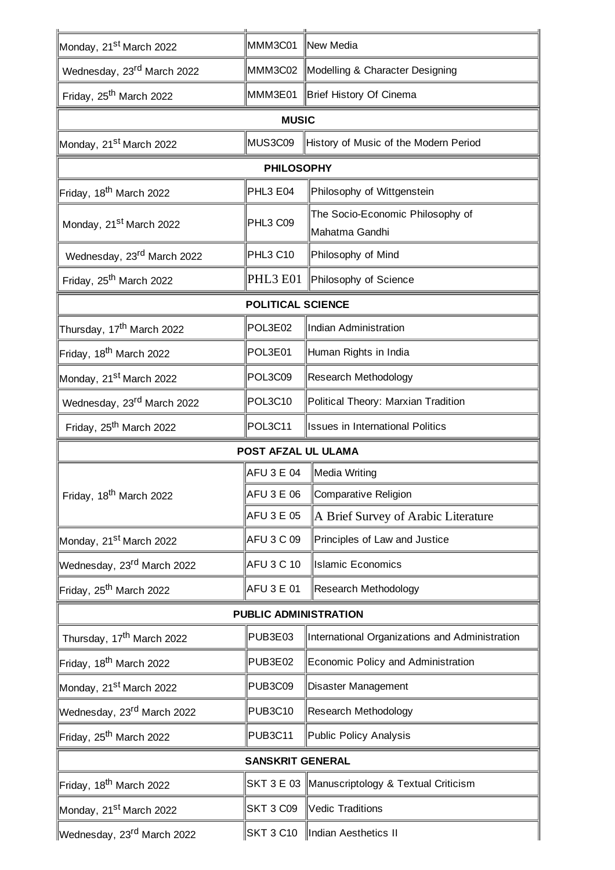| Monday, 21 <sup>st</sup> March 2022    | MMM3C01 New Media   |                                                    |  |  |  |
|----------------------------------------|---------------------|----------------------------------------------------|--|--|--|
| Wednesday, 23 <sup>rd</sup> March 2022 |                     | MMM3C02 Modelling & Character Designing            |  |  |  |
| Friday, 25 <sup>th</sup> March 2022    | MMM3E01             | Brief History Of Cinema                            |  |  |  |
| <b>MUSIC</b>                           |                     |                                                    |  |  |  |
| Monday, 21 <sup>st</sup> March 2022    | MUS3C09             | History of Music of the Modern Period              |  |  |  |
|                                        | <b>PHILOSOPHY</b>   |                                                    |  |  |  |
| Friday, 18 <sup>th</sup> March 2022    | PHL3 E04            | Philosophy of Wittgenstein                         |  |  |  |
| Monday, 21 <sup>st</sup> March 2022    | PHL3 C09            | The Socio-Economic Philosophy of<br>Mahatma Gandhi |  |  |  |
| Wednesday, 23rd March 2022             | <b>PHL3 C10</b>     | Philosophy of Mind                                 |  |  |  |
| Friday, 25 <sup>th</sup> March 2022    | PHL3 E01            | Philosophy of Science                              |  |  |  |
| <b>POLITICAL SCIENCE</b>               |                     |                                                    |  |  |  |
| Thursday, 17 <sup>th</sup> March 2022  | POL3E02             | Indian Administration                              |  |  |  |
| Friday, 18 <sup>th</sup> March 2022    | POL3E01             | Human Rights in India                              |  |  |  |
| Monday, 21 <sup>st</sup> March 2022    | POL3C09             | Research Methodology                               |  |  |  |
| Wednesday, 23 <sup>rd</sup> March 2022 | POL3C10             | Political Theory: Marxian Tradition                |  |  |  |
| Friday, 25 <sup>th</sup> March 2022    | POL3C11             | <b>Issues in International Politics</b>            |  |  |  |
|                                        | POST AFZAL UL ULAMA |                                                    |  |  |  |
| Friday, 18 <sup>th</sup> March 2022    | AFU 3 E 04          | Media Writing                                      |  |  |  |
|                                        | AFU 3 E 06          | Comparative Religion                               |  |  |  |
|                                        | AFU 3 E 05          | A Brief Survey of Arabic Literature                |  |  |  |
| Monday, 21 <sup>st</sup> March 2022    | AFU 3 C 09          | Principles of Law and Justice                      |  |  |  |
| Wednesday, 23 <sup>rd</sup> March 2022 | AFU 3 C 10          | <b>Islamic Economics</b>                           |  |  |  |
| Friday, 25 <sup>th</sup> March 2022    | AFU 3 E 01          | Research Methodology                               |  |  |  |
| <b>PUBLIC ADMINISTRATION</b>           |                     |                                                    |  |  |  |
| Thursday, 17 <sup>th</sup> March 2022  | PUB3E03             | International Organizations and Administration     |  |  |  |
| Friday, 18 <sup>th</sup> March 2022    | PUB3E02             | Economic Policy and Administration                 |  |  |  |
| Monday, 21 <sup>st</sup> March 2022    | <b>PUB3C09</b>      | Disaster Management                                |  |  |  |
| Wednesday, 23 <sup>rd</sup> March 2022 | <b>PUB3C10</b>      | Research Methodology                               |  |  |  |
| Friday, 25 <sup>th</sup> March 2022    | PUB3C11             | Public Policy Analysis                             |  |  |  |
| <b>SANSKRIT GENERAL</b>                |                     |                                                    |  |  |  |
| Friday, 18 <sup>th</sup> March 2022    |                     | SKT 3 E 03 Manuscriptology & Textual Criticism     |  |  |  |
|                                        |                     |                                                    |  |  |  |
| Monday, 21 <sup>st</sup> March 2022    | <b>SKT 3 C09</b>    | Vedic Traditions                                   |  |  |  |